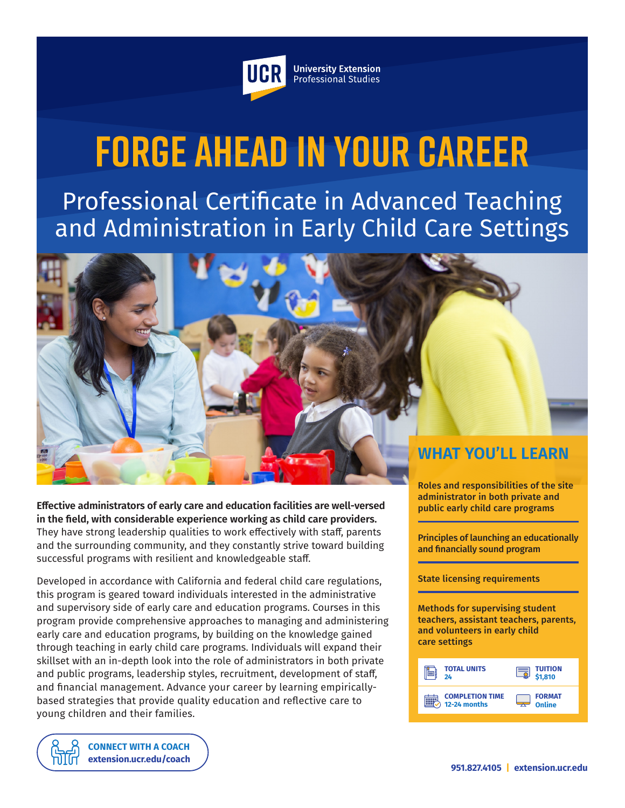

**University Extension** Professional Studies

# **Forge Ahead in Your Career**

Professional Certificate in Advanced Teaching and Administration in Early Child Care Settings

**WHAT YOU'LL LEARN**

**Effective administrators of early care and education facilities are well-versed in the field, with considerable experience working as child care providers.** They have strong leadership qualities to work effectively with staff, parents and the surrounding community, and they constantly strive toward building successful programs with resilient and knowledgeable staff.

Developed in accordance with California and federal child care regulations, this program is geared toward individuals interested in the administrative and supervisory side of early care and education programs. Courses in this program provide comprehensive approaches to managing and administering early care and education programs, by building on the knowledge gained through teaching in early child care programs. Individuals will expand their skillset with an in-depth look into the role of administrators in both private and public programs, leadership styles, recruitment, development of staff, and financial management. Advance your career by learning empiricallybased strategies that provide quality education and reflective care to young children and their families.

**[CONNECT WITH A COACH](https://extension.ucr.edu/studentresources/studentsuccesscoaches/studentsuccesscoaches) [extension.ucr.edu/coach](http://extension.ucr.edu/coach)** Roles and responsibilities of the site administrator in both private and public early child care programs

Principles of launching an educationally and financially sound program

#### State licensing requirements

Methods for supervising student teachers, assistant teachers, parents, and volunteers in early child care settings

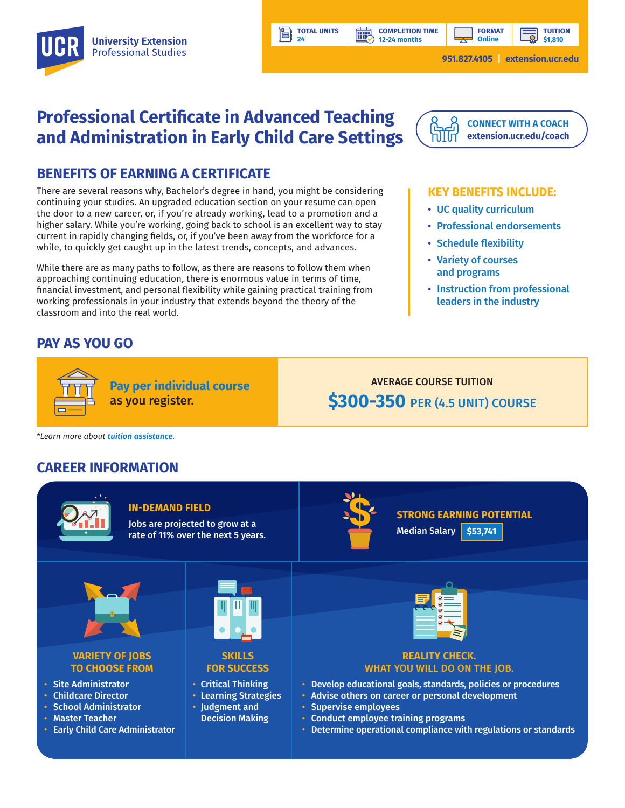

**TOTAL UNITS 24**

**HILL** 

**TUITION \$1,810**

**951.827.4105 | [extension.ucr.edu](http://extension.ucr.edu)**

**FORMAT Online**

# **Professional Certificate in Advanced Teaching and Administration in Early Child Care Settings**

## **BENEFITS OF EARNING A CERTIFICATE**

There are several reasons why, Bachelor's degree in hand, you might be considering continuing your studies. An upgraded education section on your resume can open the door to a new career, or, if you're already working, lead to a promotion and a higher salary. While you're working, going back to school is an excellent way to stay current in rapidly changing fields, or, if you've been away from the workforce for a while, to quickly get caught up in the latest trends, concepts, and advances.

While there are as many paths to follow, as there are reasons to follow them when approaching continuing education, there is enormous value in terms of time, financial investment, and personal flexibility while gaining practical training from working professionals in your industry that extends beyond the theory of the classroom and into the real world.

**Pay per individual course**

as you register.

## **PAY AS YOU GO**



**[CONNECT WITH A COACH](https://extension.ucr.edu/studentresources/studentsuccesscoaches/studentsuccesscoaches) [extension.ucr.edu/coach](http://extension.ucr.edu/coach)**

#### **KEY BENEFITS INCLUDE:**

- UC quality curriculum
- Professional endorsements
- Schedule flexibility
- Variety of courses and programs
- Instruction from professional leaders in the industry

AVERAGE COURSE TUITION **\$300-350** PER (4.5 UNIT) COURSE

*\*Learn more about [tuition assistance](https://extension.ucr.edu/helpcenterstudentresources/financialandtuitionassistance).*

### **CAREER INFORMATION**